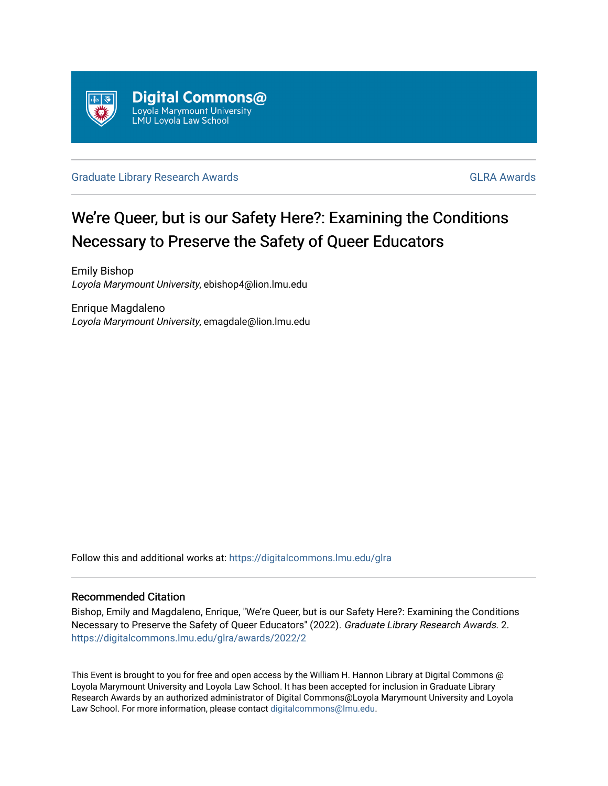

## [Graduate Library Research Awards](https://digitalcommons.lmu.edu/glra) Guidean Communications of the [GLRA Awards](https://digitalcommons.lmu.edu/glra/awards) GLRA Awards

## We're Queer, but is our Safety Here?: Examining the Conditions Necessary to Preserve the Safety of Queer Educators

Emily Bishop Loyola Marymount University, ebishop4@lion.lmu.edu

Enrique Magdaleno Loyola Marymount University, emagdale@lion.lmu.edu

Follow this and additional works at: [https://digitalcommons.lmu.edu/glra](https://digitalcommons.lmu.edu/glra?utm_source=digitalcommons.lmu.edu%2Fglra%2Fawards%2F2022%2F2&utm_medium=PDF&utm_campaign=PDFCoverPages) 

## Recommended Citation

Bishop, Emily and Magdaleno, Enrique, "We're Queer, but is our Safety Here?: Examining the Conditions Necessary to Preserve the Safety of Queer Educators" (2022). Graduate Library Research Awards. 2. [https://digitalcommons.lmu.edu/glra/awards/2022/2](https://digitalcommons.lmu.edu/glra/awards/2022/2?utm_source=digitalcommons.lmu.edu%2Fglra%2Fawards%2F2022%2F2&utm_medium=PDF&utm_campaign=PDFCoverPages) 

This Event is brought to you for free and open access by the William H. Hannon Library at Digital Commons @ Loyola Marymount University and Loyola Law School. It has been accepted for inclusion in Graduate Library Research Awards by an authorized administrator of Digital Commons@Loyola Marymount University and Loyola Law School. For more information, please contact [digitalcommons@lmu.edu.](mailto:digitalcommons@lmu.edu)